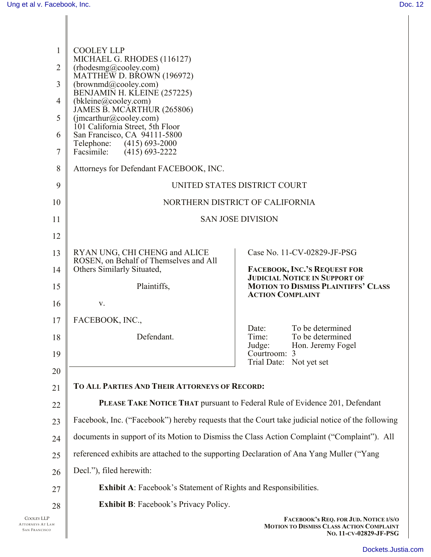| 1<br>2<br>3<br>$\overline{4}$<br>5<br>6<br>7<br>8<br>9 | <b>COOLEY LLP</b><br>MICHAEL G. RHODES (116127)<br>(rhodesmg@cooley.com)<br>MATTHEW D. BROWN (196972)<br>(brownmd@cooley.com)<br>BENJAMIŇ H. KĽEINÉ (257225)<br>(bkleine@cooley.com)<br>JAMES B. MCÁRTHUR (265806)<br>(jmcarthur@cooley.com)<br>101 California Street, 5th Floor<br>San Francisco, CA 94111-5800<br>Telephone: (415) 693-2000<br>$(415)$ 693-2222<br>Facsimile:<br>Attorneys for Defendant FACEBOOK, INC. | UNITED STATES DISTRICT COURT                                                                                |
|--------------------------------------------------------|---------------------------------------------------------------------------------------------------------------------------------------------------------------------------------------------------------------------------------------------------------------------------------------------------------------------------------------------------------------------------------------------------------------------------|-------------------------------------------------------------------------------------------------------------|
| 10                                                     | NORTHERN DISTRICT OF CALIFORNIA                                                                                                                                                                                                                                                                                                                                                                                           |                                                                                                             |
| 11                                                     | <b>SAN JOSE DIVISION</b>                                                                                                                                                                                                                                                                                                                                                                                                  |                                                                                                             |
| 12                                                     |                                                                                                                                                                                                                                                                                                                                                                                                                           |                                                                                                             |
| 13                                                     | RYAN UNG, CHI CHENG and ALICE                                                                                                                                                                                                                                                                                                                                                                                             | Case No. 11-CV-02829-JF-PSG                                                                                 |
| 14                                                     | ROSEN, on Behalf of Themselves and All<br>Others Similarly Situated,                                                                                                                                                                                                                                                                                                                                                      | FACEBOOK, INC.'S REQUEST FOR<br><b>JUDICIAL NOTICE IN SUPPORT OF</b>                                        |
| 15                                                     | Plaintiffs,                                                                                                                                                                                                                                                                                                                                                                                                               | <b>MOTION TO DISMISS PLAINTIFFS' CLASS</b><br><b>ACTION COMPLAINT</b>                                       |
| 16                                                     | V.                                                                                                                                                                                                                                                                                                                                                                                                                        |                                                                                                             |
| 17                                                     | FACEBOOK, INC.,                                                                                                                                                                                                                                                                                                                                                                                                           | To be determined<br>Date:                                                                                   |
| 18<br>19                                               | Defendant.                                                                                                                                                                                                                                                                                                                                                                                                                | Time:<br>To be determined<br>Hon. Jeremy Fogel<br>Judge:<br>Courtroom: 3                                    |
| 20                                                     |                                                                                                                                                                                                                                                                                                                                                                                                                           | Trial Date: Not yet set                                                                                     |
| 21                                                     | TO ALL PARTIES AND THEIR ATTORNEYS OF RECORD:                                                                                                                                                                                                                                                                                                                                                                             |                                                                                                             |
| 22                                                     |                                                                                                                                                                                                                                                                                                                                                                                                                           | PLEASE TAKE NOTICE THAT pursuant to Federal Rule of Evidence 201, Defendant                                 |
| 23                                                     | Facebook, Inc. ("Facebook") hereby requests that the Court take judicial notice of the following                                                                                                                                                                                                                                                                                                                          |                                                                                                             |
| 24                                                     | documents in support of its Motion to Dismiss the Class Action Complaint ("Complaint"). All                                                                                                                                                                                                                                                                                                                               |                                                                                                             |
| 25                                                     | referenced exhibits are attached to the supporting Declaration of Ana Yang Muller ("Yang                                                                                                                                                                                                                                                                                                                                  |                                                                                                             |
| 26                                                     | Decl."), filed herewith:                                                                                                                                                                                                                                                                                                                                                                                                  |                                                                                                             |
| 27                                                     | Exhibit A: Facebook's Statement of Rights and Responsibilities.                                                                                                                                                                                                                                                                                                                                                           |                                                                                                             |
| 28                                                     | <b>Exhibit B:</b> Facebook's Privacy Policy.                                                                                                                                                                                                                                                                                                                                                                              |                                                                                                             |
| Ρ<br>LAW<br>co                                         |                                                                                                                                                                                                                                                                                                                                                                                                                           | FACEBOOK's REQ. FOR JUD. NOTICE I/S/O<br>MOTION TO DISMISS CLASS ACTION COMPLAINT<br>No. 11-CV-02829-JF-PSG |

COOLEY LLP ATTORNEYS AT I SAN FRANCISCO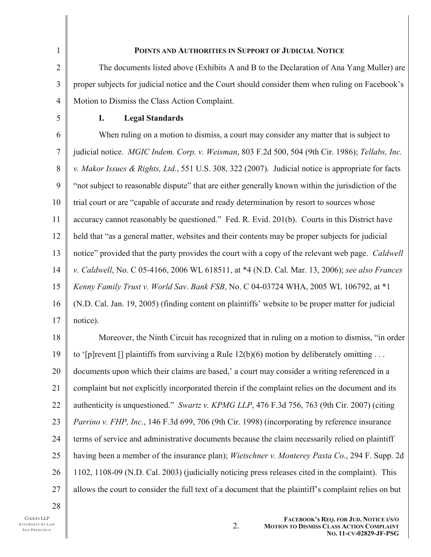| 1              | POINTS AND AUTHORITIES IN SUPPORT OF JUDICIAL NOTICE                                               |
|----------------|----------------------------------------------------------------------------------------------------|
| $\overline{2}$ | The documents listed above (Exhibits A and B to the Declaration of Ana Yang Muller) are            |
| 3              | proper subjects for judicial notice and the Court should consider them when ruling on Facebook's   |
| $\overline{4}$ | Motion to Dismiss the Class Action Complaint.                                                      |
| 5              | <b>Legal Standards</b><br>I.                                                                       |
| 6              | When ruling on a motion to dismiss, a court may consider any matter that is subject to             |
| $\overline{7}$ | judicial notice. MGIC Indem. Corp. v. Weisman, 803 F.2d 500, 504 (9th Cir. 1986); Tellabs, Inc.    |
| 8              | v. Makor Issues & Rights, Ltd., 551 U.S. 308, 322 (2007). Judicial notice is appropriate for facts |
| 9              | "not subject to reasonable dispute" that are either generally known within the jurisdiction of the |
| 10             | trial court or are "capable of accurate and ready determination by resort to sources whose         |
| 11             | accuracy cannot reasonably be questioned." Fed. R. Evid. 201(b). Courts in this District have      |
| 12             | held that "as a general matter, websites and their contents may be proper subjects for judicial    |
| 13             | notice" provided that the party provides the court with a copy of the relevant web page. Caldwell  |
| 14             | v. Caldwell, No. C 05-4166, 2006 WL 618511, at *4 (N.D. Cal. Mar. 13, 2006); see also Frances      |
| 15             | Kenny Family Trust v. World Sav. Bank FSB, No. C 04-03724 WHA, 2005 WL 106792, at *1               |
| 16             | (N.D. Cal. Jan. 19, 2005) (finding content on plaintiffs' website to be proper matter for judicial |
| 17             | notice).                                                                                           |
| 18             | Moreover, the Ninth Circuit has recognized that in ruling on a motion to dismiss, "in order        |
| 19             | to '[p] revent [] plaintiffs from surviving a Rule $12(b)(6)$ motion by deliberately omitting      |
| 20             | documents upon which their claims are based,' a court may consider a writing referenced in a       |
| 21             | complaint but not explicitly incorporated therein if the complaint relies on the document and its  |
| 22             | authenticity is unquestioned." Swartz v. KPMG LLP, 476 F.3d 756, 763 (9th Cir. 2007) (citing       |
| 23             | Parrino v. FHP, Inc., 146 F.3d 699, 706 (9th Cir. 1998) (incorporating by reference insurance      |
| 24             | terms of service and administrative documents because the claim necessarily relied on plaintiff    |
| 25             | having been a member of the insurance plan); Wietschner v. Monterey Pasta Co., 294 F. Supp. 2d     |

26 1102, 1108-09 (N.D. Cal. 2003) (judicially noticing press releases cited in the complaint). This

27 allows the court to consider the full text of a document that the plaintiff's complaint relies on but

2.

28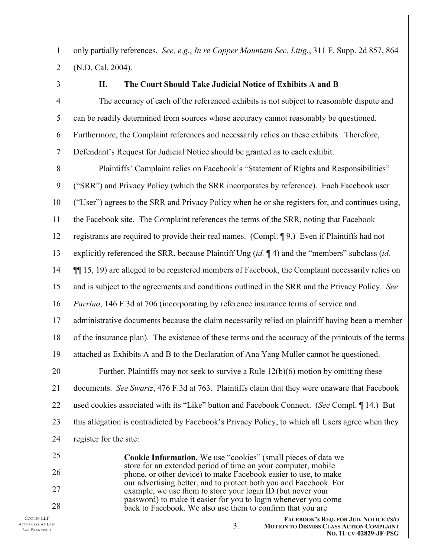2

(N.D. Cal. 2004).

3

4

5

6

7

1

## **II. The Court Should Take Judicial Notice of Exhibits A and B**

only partially references. *See, e.g.*, *In re Copper Mountain Sec. Litig.*, 311 F. Supp. 2d 857, 864

The accuracy of each of the referenced exhibits is not subject to reasonable dispute and can be readily determined from sources whose accuracy cannot reasonably be questioned. Furthermore, the Complaint references and necessarily relies on these exhibits. Therefore, Defendant's Request for Judicial Notice should be granted as to each exhibit.

8 9 10 11 12 13 14 15 16 17 18 19 20 21 22 23 24 Plaintiffs' Complaint relies on Facebook's "Statement of Rights and Responsibilities" ("SRR") and Privacy Policy (which the SRR incorporates by reference). Each Facebook user ("User") agrees to the SRR and Privacy Policy when he or she registers for, and continues using, the Facebook site. The Complaint references the terms of the SRR, noting that Facebook registrants are required to provide their real names. (Compl. ¶ 9.) Even if Plaintiffs had not explicitly referenced the SRR, because Plaintiff Ung (*id.* ¶ 4) and the "members" subclass (*id.* ¶¶ 15, 19) are alleged to be registered members of Facebook, the Complaint necessarily relies on and is subject to the agreements and conditions outlined in the SRR and the Privacy Policy. *See Parrino*, 146 F.3d at 706 (incorporating by reference insurance terms of service and administrative documents because the claim necessarily relied on plaintiff having been a member of the insurance plan). The existence of these terms and the accuracy of the printouts of the terms attached as Exhibits A and B to the Declaration of Ana Yang Muller cannot be questioned. Further, Plaintiffs may not seek to survive a Rule 12(b)(6) motion by omitting these documents. *See Swartz*, 476 F.3d at 763. Plaintiffs claim that they were unaware that Facebook used cookies associated with its "Like" button and Facebook Connect. (*See* Compl. ¶ 14.) But this allegation is contradicted by Facebook's Privacy Policy, to which all Users agree when they register for the site:

> **Cookie Information.** We use "cookies" (small pieces of data we store for an extended period of time on your computer, mobile phone, or other device) to make Facebook easier to use, to make our advertising better, and to protect both you and Facebook. For example, we use them to store your login ID (but never your password) to make it easier for you to login whenever you come back to Facebook. We also use them to confirm that you are

25

26

27

28

3.